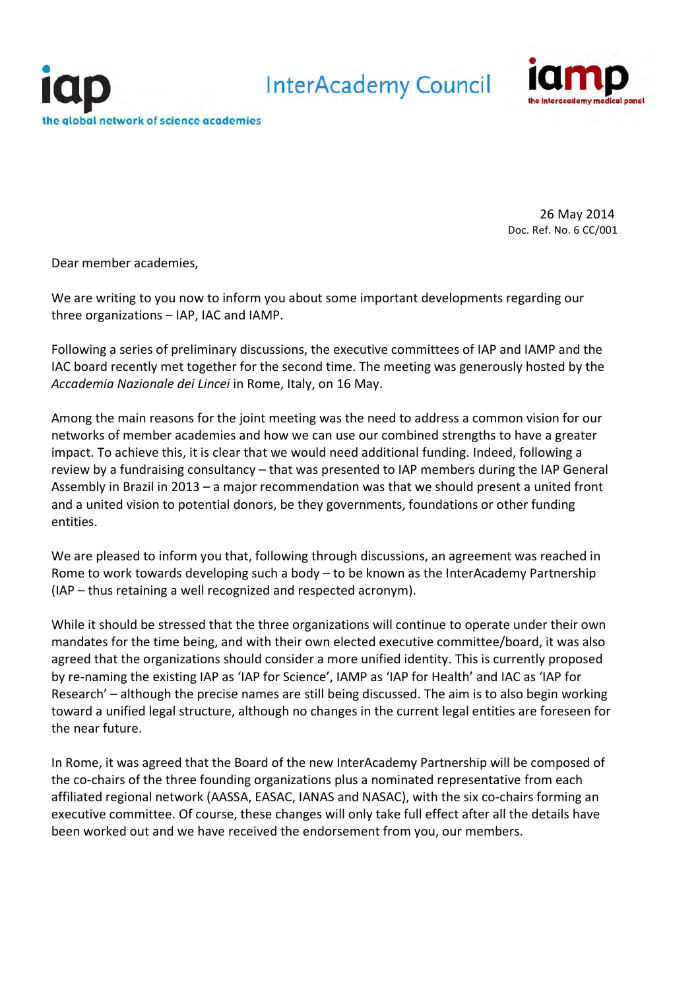

26 May 2014 Doc. Ref. No. 6 CC/001

Dear member academies,

We are writing to you now to inform you about some important developments regarding our three organizations – IAP, IAC and IAMP.

Following a series of preliminary discussions, the executive committees of IAP and IAMP and the IAC board recently met together for the second time. The meeting was generously hosted by the *Accademia Nazionale dei Lincei* in Rome, Italy, on 16 May.

Among the main reasons for the joint meeting was the need to address a common vision for our networks of member academies and how we can use our combined strengths to have a greater impact. To achieve this, it is clear that we would need additional funding. Indeed, following a review by a fundraising consultancy – that was presented to IAP members during the IAP General Assembly in Brazil in 2013 – a major recommendation was that we should present a united front and a united vision to potential donors, be they governments, foundations or other funding entities.

We are pleased to inform you that, following through discussions, an agreement was reached in Rome to work towards developing such a body – to be known as the InterAcademy Partnership (IAP – thus retaining a well recognized and respected acronym).

While it should be stressed that the three organizations will continue to operate under their own mandates for the time being, and with their own elected executive committee/board, it was also agreed that the organizations should consider a more unified identity. This is currently proposed by re-naming the existing IAP as 'IAP for Science', IAMP as 'IAP for Health' and IAC as 'IAP for Research' – although the precise names are still being discussed. The aim is to also begin working toward a unified legal structure, although no changes in the current legal entities are foreseen for the near future.

In Rome, it was agreed that the Board of the new InterAcademy Partnership will be composed of the co-chairs of the three founding organizations plus a nominated representative from each affiliated regional network (AASSA, EASAC, IANAS and NASAC), with the six co-chairs forming an executive committee. Of course, these changes will only take full effect after all the details have been worked out and we have received the endorsement from you, our members.